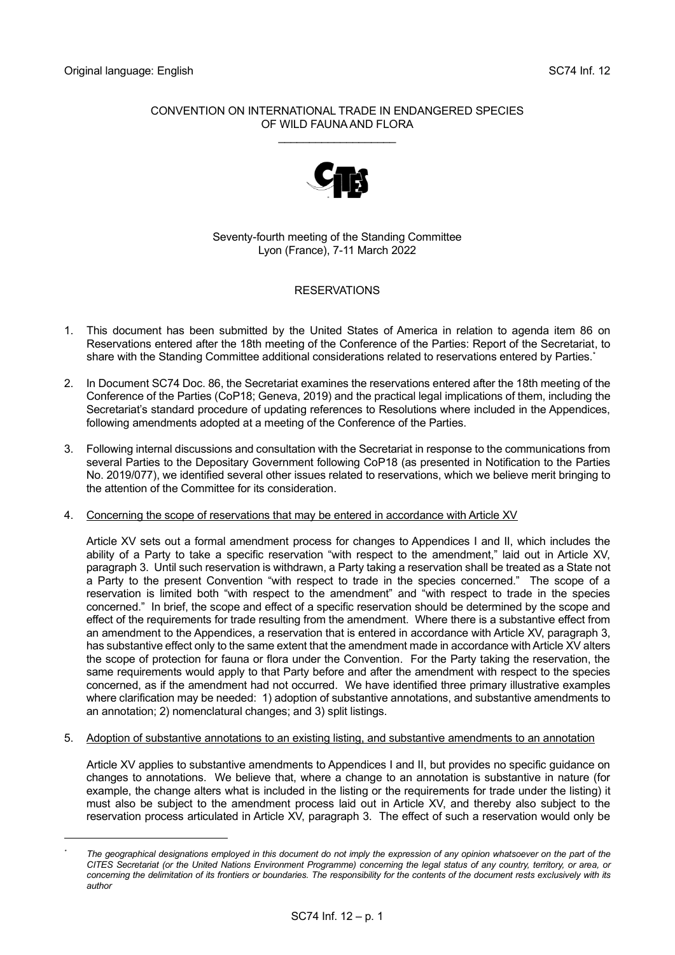### CONVENTION ON INTERNATIONAL TRADE IN ENDANGERED SPECIES OF WILD FAUNA AND FLORA

\_\_\_\_\_\_\_\_\_\_\_\_\_\_\_\_\_\_\_



Seventy-fourth meeting of the Standing Committee Lyon (France), 7-11 March 2022

# **RESERVATIONS**

- 1. This document has been submitted by the United States of America in relation to agenda item 86 on Reservations entered after the 18th meeting of the Conference of the Parties: Report of the Secretariat, to share with the Standing Committee additional considerations related to reservations entered by Parties.\*
- 2. In Document SC74 Doc. 86, the Secretariat examines the reservations entered after the 18th meeting of the Conference of the Parties (CoP18; Geneva, 2019) and the practical legal implications of them, including the Secretariat's standard procedure of updating references to Resolutions where included in the Appendices, following amendments adopted at a meeting of the Conference of the Parties.
- 3. Following internal discussions and consultation with the Secretariat in response to the communications from several Parties to the Depositary Government following CoP18 (as presented in Notification to the Parties No. 2019/077), we identified several other issues related to reservations, which we believe merit bringing to the attention of the Committee for its consideration.

# 4. Concerning the scope of reservations that may be entered in accordance with Article XV

Article XV sets out a formal amendment process for changes to Appendices I and II, which includes the ability of a Party to take a specific reservation "with respect to the amendment," laid out in Article XV, paragraph 3. Until such reservation is withdrawn, a Party taking a reservation shall be treated as a State not a Party to the present Convention "with respect to trade in the species concerned." The scope of a reservation is limited both "with respect to the amendment" and "with respect to trade in the species concerned." In brief, the scope and effect of a specific reservation should be determined by the scope and effect of the requirements for trade resulting from the amendment. Where there is a substantive effect from an amendment to the Appendices, a reservation that is entered in accordance with Article XV, paragraph 3, has substantive effect only to the same extent that the amendment made in accordance with Article XV alters the scope of protection for fauna or flora under the Convention. For the Party taking the reservation, the same requirements would apply to that Party before and after the amendment with respect to the species concerned, as if the amendment had not occurred. We have identified three primary illustrative examples where clarification may be needed: 1) adoption of substantive annotations, and substantive amendments to an annotation; 2) nomenclatural changes; and 3) split listings.

5. Adoption of substantive annotations to an existing listing, and substantive amendments to an annotation

Article XV applies to substantive amendments to Appendices I and II, but provides no specific guidance on changes to annotations. We believe that, where a change to an annotation is substantive in nature (for example, the change alters what is included in the listing or the requirements for trade under the listing) it must also be subject to the amendment process laid out in Article XV, and thereby also subject to the reservation process articulated in Article XV, paragraph 3. The effect of such a reservation would only be

The geographical designations employed in this document do not imply the expression of any opinion whatsoever on the part of the *CITES Secretariat (or the United Nations Environment Programme) concerning the legal status of any country, territory, or area, or concerning the delimitation of its frontiers or boundaries. The responsibility for the contents of the document rests exclusively with its author*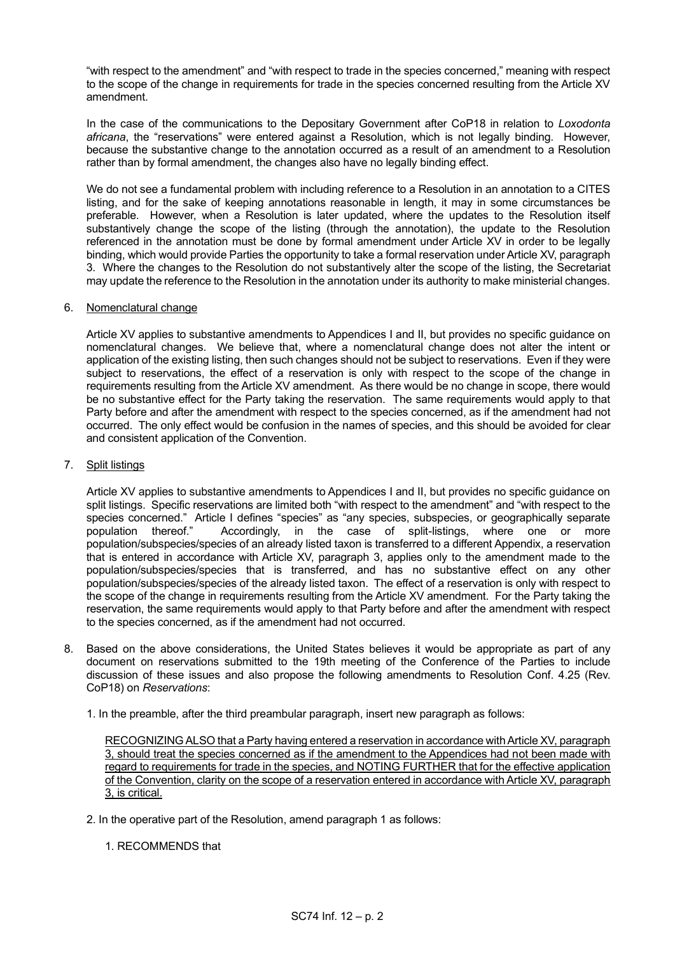"with respect to the amendment" and "with respect to trade in the species concerned," meaning with respect to the scope of the change in requirements for trade in the species concerned resulting from the Article XV amendment.

In the case of the communications to the Depositary Government after CoP18 in relation to *Loxodonta africana*, the "reservations" were entered against a Resolution, which is not legally binding. However, because the substantive change to the annotation occurred as a result of an amendment to a Resolution rather than by formal amendment, the changes also have no legally binding effect.

We do not see a fundamental problem with including reference to a Resolution in an annotation to a CITES listing, and for the sake of keeping annotations reasonable in length, it may in some circumstances be preferable. However, when a Resolution is later updated, where the updates to the Resolution itself substantively change the scope of the listing (through the annotation), the update to the Resolution referenced in the annotation must be done by formal amendment under Article XV in order to be legally binding, which would provide Parties the opportunity to take a formal reservation under Article XV, paragraph 3. Where the changes to the Resolution do not substantively alter the scope of the listing, the Secretariat may update the reference to the Resolution in the annotation under its authority to make ministerial changes.

### 6. Nomenclatural change

Article XV applies to substantive amendments to Appendices I and II, but provides no specific guidance on nomenclatural changes. We believe that, where a nomenclatural change does not alter the intent or application of the existing listing, then such changes should not be subject to reservations. Even if they were subject to reservations, the effect of a reservation is only with respect to the scope of the change in requirements resulting from the Article XV amendment. As there would be no change in scope, there would be no substantive effect for the Party taking the reservation. The same requirements would apply to that Party before and after the amendment with respect to the species concerned, as if the amendment had not occurred. The only effect would be confusion in the names of species, and this should be avoided for clear and consistent application of the Convention.

### 7. Split listings

Article XV applies to substantive amendments to Appendices I and II, but provides no specific guidance on split listings. Specific reservations are limited both "with respect to the amendment" and "with respect to the species concerned." Article I defines "species" as "any species, subspecies, or geographically separate population thereof." Accordingly, in the case of split-listings, where one or more population/subspecies/species of an already listed taxon is transferred to a different Appendix, a reservation that is entered in accordance with Article XV, paragraph 3, applies only to the amendment made to the population/subspecies/species that is transferred, and has no substantive effect on any other population/subspecies/species of the already listed taxon. The effect of a reservation is only with respect to the scope of the change in requirements resulting from the Article XV amendment. For the Party taking the reservation, the same requirements would apply to that Party before and after the amendment with respect to the species concerned, as if the amendment had not occurred.

- 8. Based on the above considerations, the United States believes it would be appropriate as part of any document on reservations submitted to the 19th meeting of the Conference of the Parties to include discussion of these issues and also propose the following amendments to Resolution Conf. 4.25 (Rev. CoP18) on *Reservations*:
	- 1. In the preamble, after the third preambular paragraph, insert new paragraph as follows:

RECOGNIZING ALSO that a Party having entered a reservation in accordance with Article XV, paragraph 3, should treat the species concerned as if the amendment to the Appendices had not been made with regard to requirements for trade in the species, and NOTING FURTHER that for the effective application of the Convention, clarity on the scope of a reservation entered in accordance with Article XV, paragraph 3, is critical.

- 2. In the operative part of the Resolution, amend paragraph 1 as follows:
	- 1. RECOMMENDS that